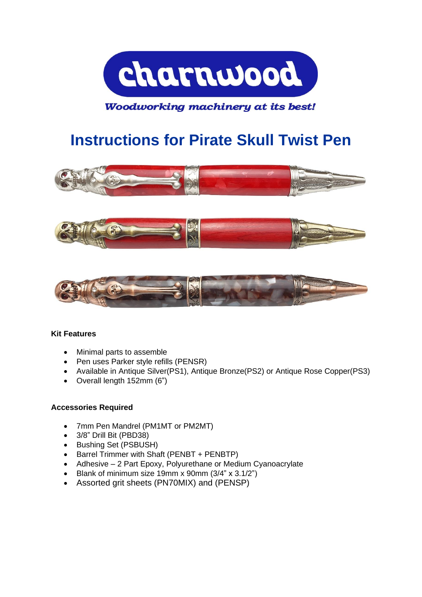

# Woodworking machinery at its best!

# **Instructions for Pirate Skull Twist Pen**







#### **Kit Features**

- Minimal parts to assemble
- Pen uses Parker style refills (PENSR)
- Available in Antique Silver(PS1), Antique Bronze(PS2) or Antique Rose Copper(PS3)
- Overall length 152mm (6")

#### **Accessories Required**

- 7mm Pen Mandrel (PM1MT or PM2MT)
- 3/8" Drill Bit (PBD38)
- Bushing Set (PSBUSH)
- Barrel Trimmer with Shaft (PENBT + PENBTP)
- Adhesive 2 Part Epoxy, Polyurethane or Medium Cyanoacrylate
- Blank of minimum size 19mm x 90mm (3/4" x 3.1/2")
- Assorted grit sheets (PN70MIX) and (PENSP)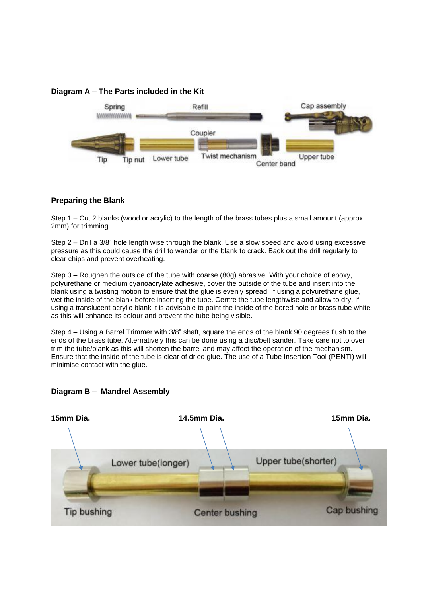### **Diagram A – The Parts included in the Kit**



#### **Preparing the Blank**

Step 1 – Cut 2 blanks (wood or acrylic) to the length of the brass tubes plus a small amount (approx. 2mm) for trimming.

Step 2 – Drill a 3/8" hole length wise through the blank. Use a slow speed and avoid using excessive pressure as this could cause the drill to wander or the blank to crack. Back out the drill regularly to clear chips and prevent overheating.

Step 3 – Roughen the outside of the tube with coarse (80g) abrasive. With your choice of epoxy, polyurethane or medium cyanoacrylate adhesive, cover the outside of the tube and insert into the blank using a twisting motion to ensure that the glue is evenly spread. If using a polyurethane glue, wet the inside of the blank before inserting the tube. Centre the tube lengthwise and allow to dry. If using a translucent acrylic blank it is advisable to paint the inside of the bored hole or brass tube white as this will enhance its colour and prevent the tube being visible.

Step 4 – Using a Barrel Trimmer with 3/8" shaft, square the ends of the blank 90 degrees flush to the ends of the brass tube. Alternatively this can be done using a disc/belt sander. Take care not to over trim the tube/blank as this will shorten the barrel and may affect the operation of the mechanism. Ensure that the inside of the tube is clear of dried glue. The use of a Tube Insertion Tool (PENTI) will minimise contact with the glue.